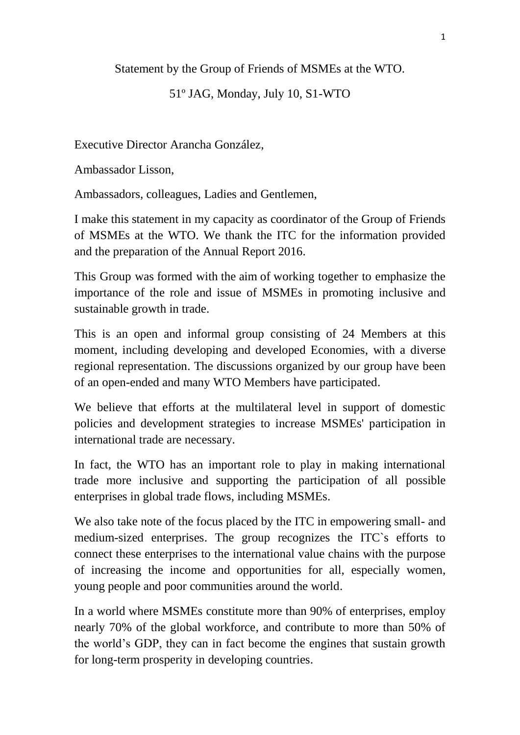Statement by the Group of Friends of MSMEs at the WTO.

## 51º JAG, Monday, July 10, S1-WTO

Executive Director Arancha González,

Ambassador Lisson,

Ambassadors, colleagues, Ladies and Gentlemen,

I make this statement in my capacity as coordinator of the Group of Friends of MSMEs at the WTO. We thank the ITC for the information provided and the preparation of the Annual Report 2016.

This Group was formed with the aim of working together to emphasize the importance of the role and issue of MSMEs in promoting inclusive and sustainable growth in trade.

This is an open and informal group consisting of 24 Members at this moment, including developing and developed Economies, with a diverse regional representation. The discussions organized by our group have been of an open-ended and many WTO Members have participated.

We believe that efforts at the multilateral level in support of domestic policies and development strategies to increase MSMEs' participation in international trade are necessary.

In fact, the WTO has an important role to play in making international trade more inclusive and supporting the participation of all possible enterprises in global trade flows, including MSMEs.

We also take note of the focus placed by the ITC in empowering small- and medium-sized enterprises. The group recognizes the ITC`s efforts to connect these enterprises to the international value chains with the purpose of increasing the income and opportunities for all, especially women, young people and poor communities around the world.

In a world where MSMEs constitute more than 90% of enterprises, employ nearly 70% of the global workforce, and contribute to more than 50% of the world's GDP, they can in fact become the engines that sustain growth for long-term prosperity in developing countries.